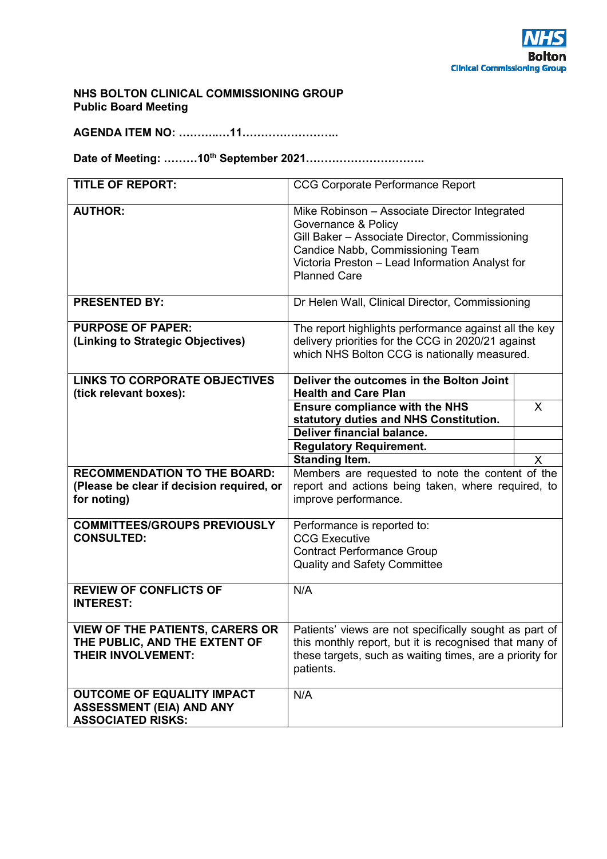

#### **NHS BOLTON CLINICAL COMMISSIONING GROUP Public Board Meeting**

**AGENDA ITEM NO: ………..…11……………………..** 

**Date of Meeting: ………10th September 2021…………………………..** 

| <b>TITLE OF REPORT:</b>                                                                              | <b>CCG Corporate Performance Report</b>                                                                                                                                                                                              |              |  |  |  |  |
|------------------------------------------------------------------------------------------------------|--------------------------------------------------------------------------------------------------------------------------------------------------------------------------------------------------------------------------------------|--------------|--|--|--|--|
| <b>AUTHOR:</b>                                                                                       | Mike Robinson - Associate Director Integrated<br>Governance & Policy<br>Gill Baker - Associate Director, Commissioning<br>Candice Nabb, Commissioning Team<br>Victoria Preston - Lead Information Analyst for<br><b>Planned Care</b> |              |  |  |  |  |
| <b>PRESENTED BY:</b>                                                                                 | Dr Helen Wall, Clinical Director, Commissioning                                                                                                                                                                                      |              |  |  |  |  |
| <b>PURPOSE OF PAPER:</b><br>(Linking to Strategic Objectives)                                        | The report highlights performance against all the key<br>delivery priorities for the CCG in 2020/21 against<br>which NHS Bolton CCG is nationally measured.                                                                          |              |  |  |  |  |
| <b>LINKS TO CORPORATE OBJECTIVES</b><br>(tick relevant boxes):                                       | Deliver the outcomes in the Bolton Joint<br><b>Health and Care Plan</b>                                                                                                                                                              |              |  |  |  |  |
|                                                                                                      | <b>Ensure compliance with the NHS</b><br>statutory duties and NHS Constitution.                                                                                                                                                      | X            |  |  |  |  |
|                                                                                                      | Deliver financial balance.                                                                                                                                                                                                           |              |  |  |  |  |
|                                                                                                      | <b>Regulatory Requirement.</b>                                                                                                                                                                                                       |              |  |  |  |  |
|                                                                                                      | <b>Standing Item.</b>                                                                                                                                                                                                                | $\mathsf{X}$ |  |  |  |  |
| <b>RECOMMENDATION TO THE BOARD:</b><br>(Please be clear if decision required, or<br>for noting)      | Members are requested to note the content of the<br>report and actions being taken, where required, to<br>improve performance.                                                                                                       |              |  |  |  |  |
| <b>COMMITTEES/GROUPS PREVIOUSLY</b><br><b>CONSULTED:</b>                                             | Performance is reported to:<br><b>CCG Executive</b><br><b>Contract Performance Group</b><br><b>Quality and Safety Committee</b>                                                                                                      |              |  |  |  |  |
| <b>REVIEW OF CONFLICTS OF</b><br><b>INTEREST:</b>                                                    | N/A                                                                                                                                                                                                                                  |              |  |  |  |  |
| <b>VIEW OF THE PATIENTS, CARERS OR</b><br>THE PUBLIC, AND THE EXTENT OF<br><b>THEIR INVOLVEMENT:</b> | Patients' views are not specifically sought as part of<br>this monthly report, but it is recognised that many of<br>these targets, such as waiting times, are a priority for<br>patients.                                            |              |  |  |  |  |
| <b>OUTCOME OF EQUALITY IMPACT</b><br><b>ASSESSMENT (EIA) AND ANY</b><br><b>ASSOCIATED RISKS:</b>     | N/A                                                                                                                                                                                                                                  |              |  |  |  |  |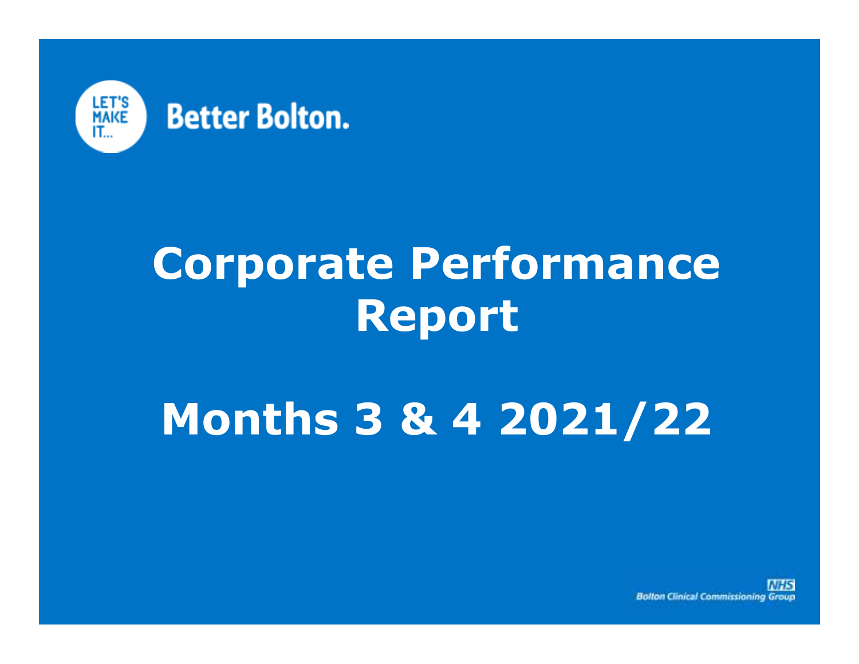

# **Corporate Performance Report**

# **Months 3 & 4 2021/22**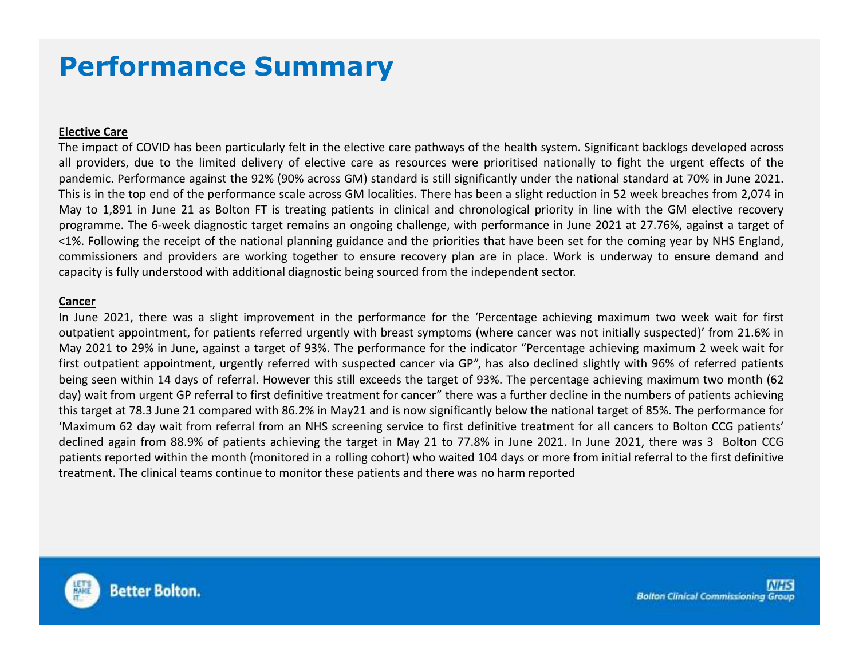# **Performance Summary**

#### **Elective Care**

The impact of COVID has been particularly felt in the elective care pathways of the health system. Significant backlogs developed across all providers, due to the limited delivery of elective care as resources were prioritised nationally to fight the urgent effects of the pandemic. Performance against the 92% (90% across GM) standard is still significantly under the national standard at 70% in June 2021. This is in the top end of the performance scale across GM localities. There has been <sup>a</sup> slight reduction in <sup>52</sup> week breaches from 2,074 in May to 1,891 in June <sup>21</sup> as Bolton FT is treating patients in clinical and chronological priority in line with the GM elective recovery programme. The 6-week diagnostic target remains an ongoing challenge, with performance in June <sup>2021</sup> at 27.76%, against <sup>a</sup> target of <1%. Following the receipt of the national planning guidance and the priorities that have been set for the coming year by NHS England, commissioners and providers are working together to ensure recovery plan are in place. Work is underway to ensure demand and capacity is fully understood with additional diagnostic being sourced from the independent sector.

#### **Cancer**

 In June 2021, there was <sup>a</sup> slight improvement in the performance for the 'Percentage achieving maximum two week wait for first outpatient appointment, for patients referred urgently with breast symptoms (where cancer was not initially suspected)' from 21.6% in May <sup>2021</sup> to 29% in June, against <sup>a</sup> target of 93%. The performance for the indicator "Percentage achieving maximum <sup>2</sup> week wait for first outpatient appointment, urgently referred with suspected cancer via GP", has also declined slightly with 96% of referred patients being seen within <sup>14</sup> days of referral. However this still exceeds the target of 93%. The percentage achieving maximum two month (62 day) wait from urgent GP referral to first definitive treatment for cancer" there was <sup>a</sup> further decline in the numbers of patients achieving this target at 78.3 June <sup>21</sup> compared with 86.2% in May21 and is now significantly below the national target of 85%. The performance for 'Maximum <sup>62</sup> day wait from referral from an NHS screening service to first definitive treatment for all cancers to Bolton CCG patients' declined again from 88.9% of patients achieving the target in May <sup>21</sup> to 77.8% in June 2021. In June 2021, there was <sup>3</sup> Bolton CCG patients reported within the month (monitored in <sup>a</sup> rolling cohort) who waited <sup>104</sup> days or more from initial referral to the first definitive treatment. The clinical teams continue to monitor these patients and there was no harm reported

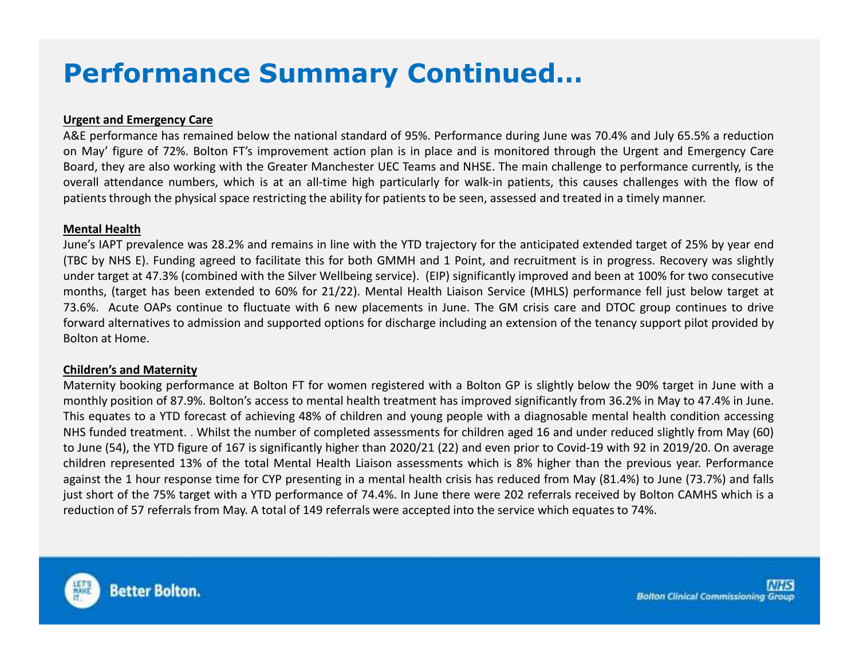# **Performance Summary Continued…**

#### **Urgent and Emergency Care**

A&E performance has remained below the national standard of 95%. Performance during June was 70.4% and July 65.5% <sup>a</sup> reduction on May' figure of 72%. Bolton FT's improvement action plan is in place and is monitored through the Urgent and Emergency Care Board, they are also working with the Greater Manchester UEC Teams and NHSE. The main challenge to performance currently, is the overall attendance numbers, which is at an all-time high particularly for walk-in patients, this causes challenges with the flow of patients through the physical space restricting the ability for patients to be seen, assessed and treated in <sup>a</sup> timely manner.

#### **Mental Health**

 June's IAPT prevalence was 28.2% and remains in line with the YTD trajectory for the anticipated extended target of 25% by year end (TBC by NHS E). Funding agreed to facilitate this for both GMMH and <sup>1</sup> Point, and recruitment is in progress. Recovery was slightly under target at 47.3% (combined with the Silver Wellbeing service). (EIP) significantly improved and been at 100% for two consecutive months, (target has been extended to 60% for 21/22). Mental Health Liaison Service (MHLS) performance fell just below target at 73.6%. Acute OAPs continue to fluctuate with <sup>6</sup> new placements in June. The GM crisis care and DTOC group continues to drive forward alternatives to admission and supported options for discharge including an extension of the tenancy support pilot provided by Bolton at Home.

#### **Children's and Maternity**

Maternity booking performance at Bolton FT for women registered with <sup>a</sup> Bolton GP is slightly below the 90% target in June with <sup>a</sup> monthly position of 87.9%. Bolton's access to mental health treatment has improved significantly from 36.2% in May to 47.4% in June. This equates to <sup>a</sup> YTD forecast of achieving 48% of children and young people with <sup>a</sup> diagnosable mental health condition accessing NHS funded treatment. . Whilst the number of completed assessments for children aged <sup>16</sup> and under reduced slightly from May (60) to June (54), the YTD figure of <sup>167</sup> is significantly higher than 2020/21 (22) and even prior to Covid-19 with <sup>92</sup> in 2019/20. On average children represented 13% of the total Mental Health Liaison assessments which is 8% higher than the previous year. Performance against the <sup>1</sup> hour response time for CYP presenting in <sup>a</sup> mental health crisis has reduced from May (81.4%) to June (73.7%) and falls just short of the 75% target with <sup>a</sup> YTD performance of 74.4%. In June there were <sup>202</sup> referrals received by Bolton CAMHS which is <sup>a</sup> reduction of <sup>57</sup> referrals from May. <sup>A</sup> total of <sup>149</sup> referrals were accepted into the service which equates to 74%.

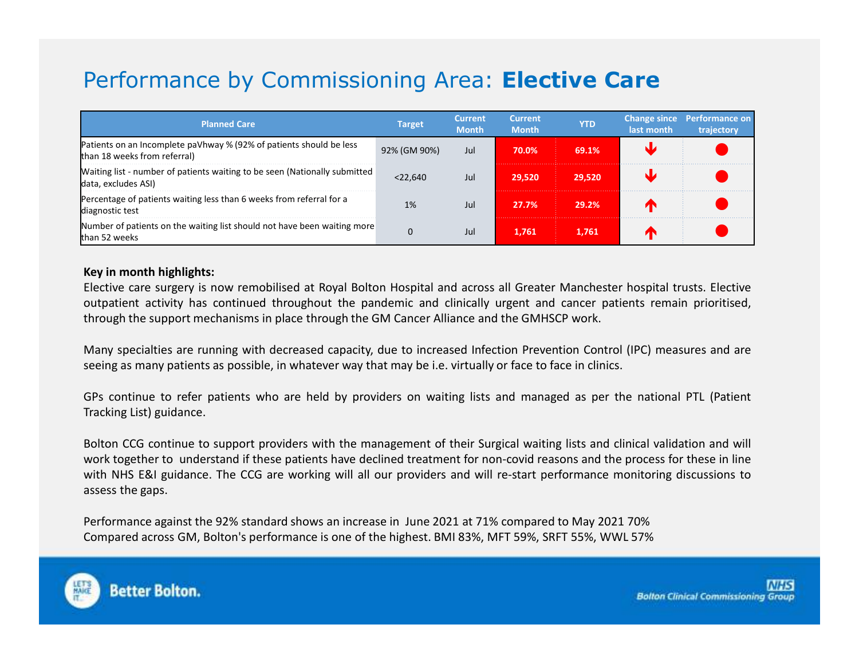# Performance by Commissioning Area: **Elective Care**

| <b>Planned Care</b>                                                                                 | <b>Target</b> | <b>Current</b><br><b>Month</b> | <b>Current</b><br><b>Month</b> | <b>YTD</b> | last month | Change since Performance on<br>trajectory |
|-----------------------------------------------------------------------------------------------------|---------------|--------------------------------|--------------------------------|------------|------------|-------------------------------------------|
| Patients on an Incomplete paVhway % (92% of patients should be less<br>than 18 weeks from referral) | 92% (GM 90%)  | Jul                            | 70.0%                          | 69.1%      |            |                                           |
| Waiting list - number of patients waiting to be seen (Nationally submitted<br>data, excludes ASI)   | <22.640       | Jul                            | 29.520                         | 29.520     |            |                                           |
| Percentage of patients waiting less than 6 weeks from referral for a<br>diagnostic test             | 1%            | Jul                            | 27.7%                          | 29.2%      |            |                                           |
| Number of patients on the waiting list should not have been waiting more<br>than 52 weeks           | 0             | Jul                            | 1.761                          | 1.761      |            |                                           |

#### **Key in month highlights:**

Elective care surgery is now remobilised at Royal Bolton Hospital and across all Greater Manchester hospital trusts. Elective outpatient activity has continued throughout the pandemic and clinically urgent and cancer patients remain prioritised, through the support mechanisms in place through the GM Cancer Alliance and the GMHSCP work.

Many specialties are running with decreased capacity, due to increased Infection Prevention Control (IPC) measures and are seeing as many patients as possible, in whatever way that may be i.e. virtually or face to face in clinics.

GPs continue to refer patients who are held by providers on waiting lists and managed as per the national PTL (Patient Tracking List) guidance.

Bolton CCG continue to support providers with the management of their Surgical waiting lists and clinical validation and will work together to understand if these patients have declined treatment for non-covid reasons and the process for these in line with NHS E&I guidance. The CCG are working will all our providers and will re-start performance monitoring discussions to assess the gaps.

Performance against the 92% standard shows an increase in June <sup>2021</sup> at 71% compared to May <sup>2021</sup> 70%Compared across GM, Bolton's performance is one of the highest. BMI 83%, MFT 59%, SRFT 55%, WWL 57%

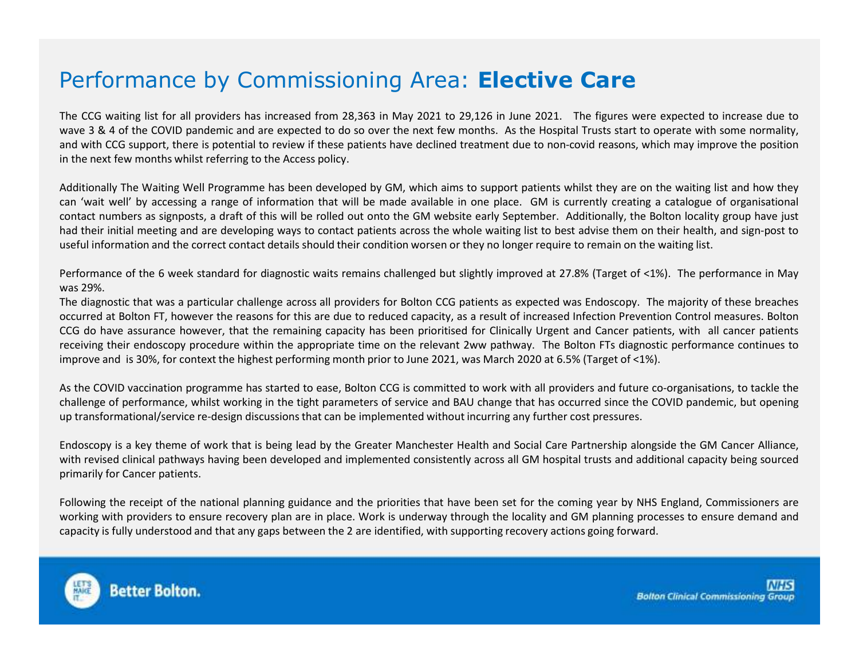# Performance by Commissioning Area: **Elective Care**

The CCG waiting list for all providers has increased from 28,363 in May <sup>2021</sup> to 29,126 in June 2021. The figures were expected to increase due to wave <sup>3</sup> & <sup>4</sup> of the COVID pandemic and are expected to do so over the next few months. As the Hospital Trusts start to operate with some normality, and with CCG support, there is potential to review if these patients have declined treatment due to non-covid reasons, which may improve the positionin the next few months whilst referring to the Access policy.

Additionally The Waiting Well Programme has been developed by GM, which aims to support patients whilst they are on the waiting list and how they can 'wait well' by accessing <sup>a</sup> range of information that will be made available in one place. GM is currently creating <sup>a</sup> catalogue of organisational contact numbers as signposts, <sup>a</sup> draft of this will be rolled out onto the GM website early September. Additionally, the Bolton locality group have just had their initial meeting and are developing ways to contact patients across the whole waiting list to best advise them on their health, and sign-post touseful information and the correct contact details should their condition worsen or they no longer require to remain on the waiting list.

Performance of the <sup>6</sup> week standard for diagnostic waits remains challenged but slightly improved at 27.8% (Target of <1%). The performance in May was 29%.

The diagnostic that was <sup>a</sup> particular challenge across all providers for Bolton CCG patients as expected was Endoscopy. The majority of these breaches occurred at Bolton FT, however the reasons for this are due to reduced capacity, as <sup>a</sup> result of increased Infection Prevention Control measures. Bolton CCG do have assurance however, that the remaining capacity has been prioritised for Clinically Urgent and Cancer patients, with all cancer patients receiving their endoscopy procedure within the appropriate time on the relevant 2ww pathway. The Bolton FTs diagnostic performance continues toimprove and is 30%, for context the highest performing month prior to June 2021, was March <sup>2020</sup> at 6.5% (Target of <1%).

As the COVID vaccination programme has started to ease, Bolton CCG is committed to work with all providers and future co-organisations, to tackle the challenge of performance, whilst working in the tight parameters of service and BAU change that has occurred since the COVID pandemic, but opening up transformational/service re-design discussions that can be implemented without incurring any further cost pressures.

Endoscopy is <sup>a</sup> key theme of work that is being lead by the Greater Manchester Health and Social Care Partnership alongside the GM Cancer Alliance, with revised clinical pathways having been developed and implemented consistently across all GM hospital trusts and additional capacity being sourcedprimarily for Cancer patients.

Following the receipt of the national planning guidance and the priorities that have been set for the coming year by NHS England, Commissioners are working with providers to ensure recovery plan are in place. Work is underway through the locality and GM planning processes to ensure demand andcapacity is fully understood and that any gaps between the <sup>2</sup> are identified, with supporting recovery actions going forward.

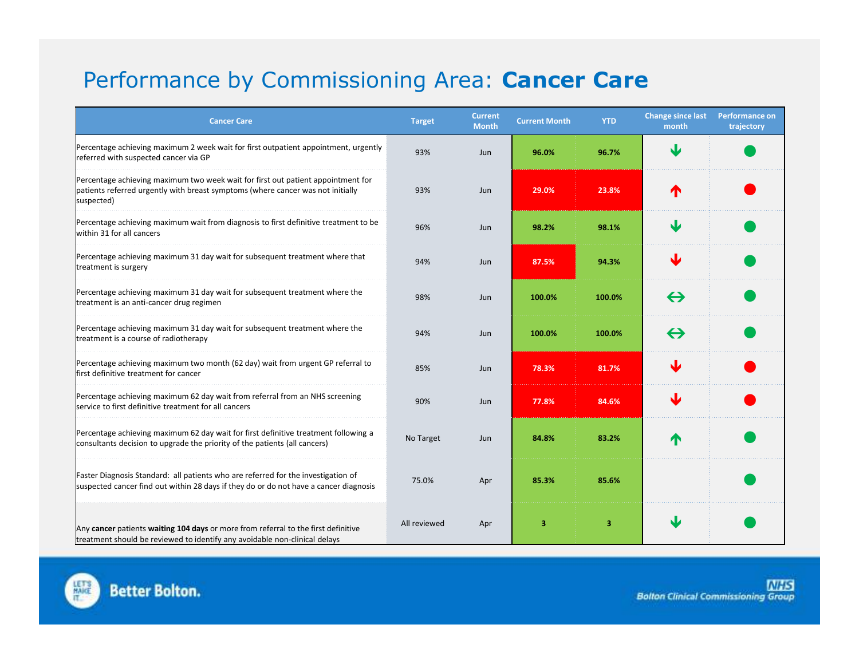# Performance by Commissioning Area: **Cancer Care**

| <b>Cancer Care</b>                                                                                                                                                                | <b>Target</b> | <b>Current</b><br><b>Month</b> | <b>Current Month</b> | <b>YTD</b> | <b>Change since last</b><br>month | Performance on<br>trajectory |
|-----------------------------------------------------------------------------------------------------------------------------------------------------------------------------------|---------------|--------------------------------|----------------------|------------|-----------------------------------|------------------------------|
| Percentage achieving maximum 2 week wait for first outpatient appointment, urgently<br>referred with suspected cancer via GP                                                      | 93%           | Jun                            | 96.0%                | 96.7%      | N                                 |                              |
| Percentage achieving maximum two week wait for first out patient appointment for<br>patients referred urgently with breast symptoms (where cancer was not initially<br>suspected) | 93%           | Jun                            | 29.0%                | 23.8%      |                                   |                              |
| Percentage achieving maximum wait from diagnosis to first definitive treatment to be<br>within 31 for all cancers                                                                 | 96%           | Jun                            | 98.2%                | 98.1%      |                                   |                              |
| Percentage achieving maximum 31 day wait for subsequent treatment where that<br>treatment is surgery                                                                              | 94%           | Jun                            | 87.5%                | 94.3%      |                                   |                              |
| Percentage achieving maximum 31 day wait for subsequent treatment where the<br>treatment is an anti-cancer drug regimen                                                           | 98%           | Jun                            | 100.0%               | 100.0%     | $\leftrightarrow$                 |                              |
| Percentage achieving maximum 31 day wait for subsequent treatment where the<br>treatment is a course of radiotherapy                                                              | 94%           | Jun                            | 100.0%               | 100.0%     | $\leftrightarrow$                 |                              |
| Percentage achieving maximum two month (62 day) wait from urgent GP referral to<br>first definitive treatment for cancer                                                          | 85%           | Jun                            | 78.3%                | 81.7%      |                                   |                              |
| Percentage achieving maximum 62 day wait from referral from an NHS screening<br>service to first definitive treatment for all cancers                                             | 90%           | Jun                            | 77.8%                | 84.6%      |                                   |                              |
| Percentage achieving maximum 62 day wait for first definitive treatment following a<br>consultants decision to upgrade the priority of the patients (all cancers)                 | No Target     | Jun                            | 84.8%                | 83.2%      |                                   |                              |
| Faster Diagnosis Standard: all patients who are referred for the investigation of<br>suspected cancer find out within 28 days if they do or do not have a cancer diagnosis        | 75.0%         | Apr                            | 85.3%                | 85.6%      |                                   |                              |
| Any cancer patients waiting 104 days or more from referral to the first definitive<br>treatment should be reviewed to identify any avoidable non-clinical delays                  | All reviewed  | Apr                            | 3                    | 3          | J                                 |                              |

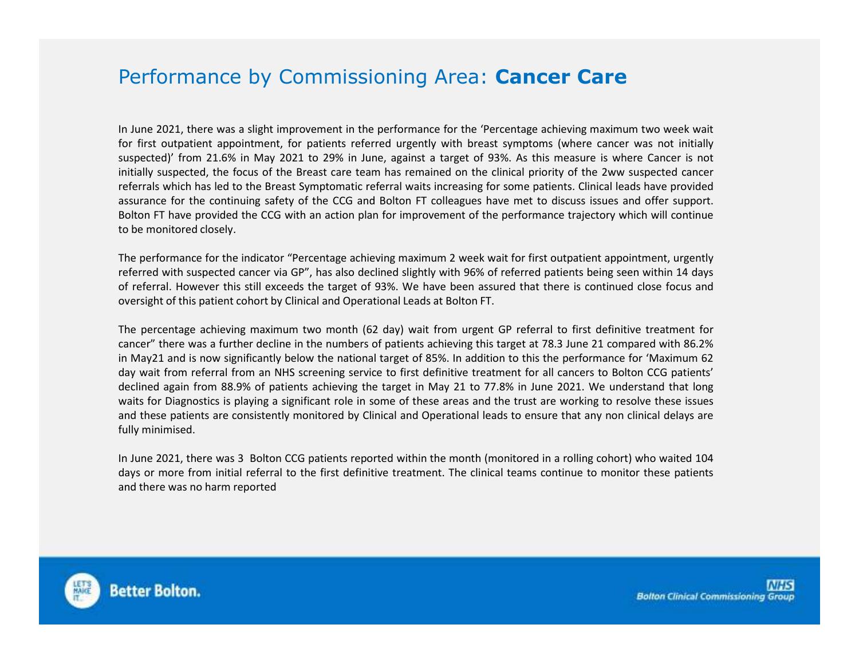### Performance by Commissioning Area: **Cancer Care**

In June 2021, there was <sup>a</sup> slight improvement in the performance for the 'Percentage achieving maximum two week wait for first outpatient appointment, for patients referred urgently with breast symptoms (where cancer was not initially suspected)' from 21.6% in May <sup>2021</sup> to 29% in June, against <sup>a</sup> target of 93%. As this measure is where Cancer is not initially suspected, the focus of the Breast care team has remained on the clinical priority of the 2ww suspected cancer referrals which has led to the Breast Symptomatic referral waits increasing for some patients. Clinical leads have provided assurance for the continuing safety of the CCG and Bolton FT colleagues have met to discuss issues and offer support. Bolton FT have provided the CCG with an action plan for improvement of the performance trajectory which will continue to be monitored closely.

The performance for the indicator "Percentage achieving maximum <sup>2</sup> week wait for first outpatient appointment, urgentl y referred with suspected cancer via GP", has also declined slightly with 96% of referred patients being seen within <sup>14</sup> days of referral. However this still exceeds the target of 93%. We have been assured that there is continued close focus andoversight of this patient cohort by Clinical and Operational Leads at Bolton FT.

The percentage achieving maximum two month (62 day) wait from urgent GP referral to first definitive treatment for cancer" there was <sup>a</sup> further decline in the numbers of patients achieving this target at 78.3 June <sup>21</sup> compared with 86.2% in May21 and is now significantly below the national target of 85%. In addition to this the performance for 'Maximum <sup>62</sup> day wait from referral from an NHS screening service to first definitive treatment for all cancers to Bolton CCG patients' declined again from 88.9% of patients achieving the target in May <sup>21</sup> to 77.8% in June 2021. We understand that long waits for Diagnostics is playing <sup>a</sup> significant role in some of these areas and the trust are working to resolve these issues and these patients are consistently monitored by Clinical and Operational leads to ensure that any non clinical delays are fully minimised.

In June 2021, there was <sup>3</sup> Bolton CCG patients reported within the month (monitored in <sup>a</sup> rolling cohort) who waited <sup>104</sup> days or more from initial referral to the first definitive treatment. The clinical teams continue to monitor these patients and there was no harm reported

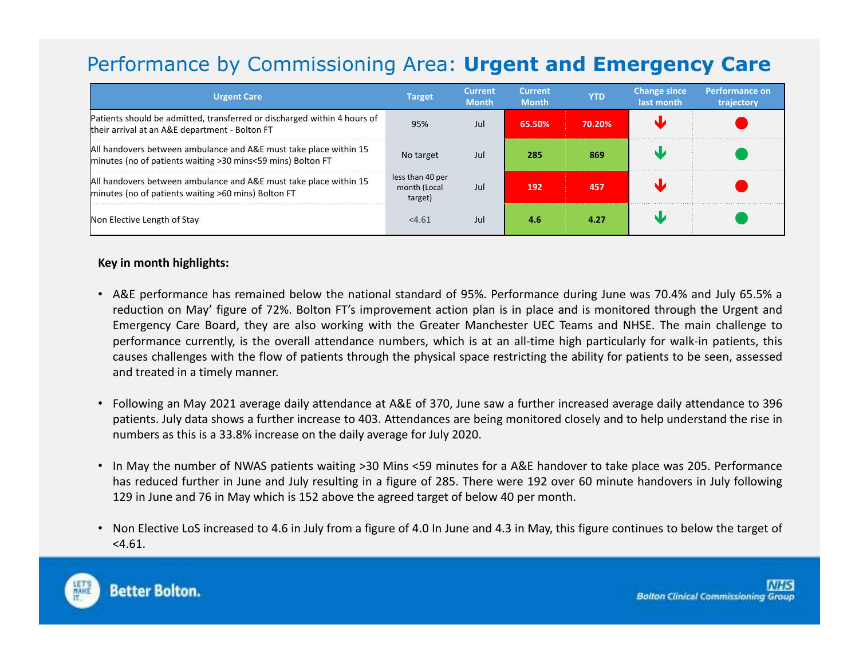# Performance by Commissioning Area: **Urgent and Emergency Care**

| <b>Urgent Care</b>                                                                                                               | <b>Target</b>                               | <b>Current</b><br><b>Month</b> | <b>Current</b><br><b>Month</b> | <b>YTD</b> | <b>Change since</b><br>last month | Performance on<br>trajectory |
|----------------------------------------------------------------------------------------------------------------------------------|---------------------------------------------|--------------------------------|--------------------------------|------------|-----------------------------------|------------------------------|
| Patients should be admitted, transferred or discharged within 4 hours of<br>their arrival at an A&E department - Bolton FT       | 95%                                         | Jul                            | 65.50%                         | 70.20%     |                                   |                              |
| All handovers between ambulance and A&E must take place within 15<br>minutes (no of patients waiting >30 mins<59 mins) Bolton FT | No target                                   | Jul                            | 285                            | 869        |                                   |                              |
| All handovers between ambulance and A&E must take place within 15<br>minutes (no of patients waiting >60 mins) Bolton FT         | less than 40 per<br>month (Local<br>target) | Jul                            | 192                            | 457        |                                   |                              |
| Non Elective Length of Stay                                                                                                      | < 4.61                                      | Jul                            | 4.6                            | 4.27       |                                   |                              |

#### **Key in month highlights:**

- A&E performance has remained below the national standard of 95%. Performance during June was 70.4% and July 65.5% <sup>a</sup> reduction on May' figure of 72%. Bolton FT's improvement action plan is in place and is monitored through the Urgent and Emergency Care Board, they are also working with the Greater Manchester UEC Teams and NHSE. The main challenge to performance currently, is the overall attendance numbers, which is at an all-time high particularly for walk-in patients, this causes challenges with the flow of patients through the physical space restricting the ability for patients to be seen, assessedand treated in <sup>a</sup> timely manner.
- Following an May <sup>2021</sup> average daily attendance at A&E of 370, June saw <sup>a</sup> further increased average daily attendance to <sup>396</sup> patients. July data shows <sup>a</sup> further increase to 403. Attendances are being monitored closely and to help understand the rise innumbers as this is <sup>a</sup> 33.8% increase on the daily average for July 2020.
- In May the number of NWAS patients waiting >30 Mins <59 minutes for <sup>a</sup> A&E handover to take place was 205. Performance has reduced further in June and July resulting in <sup>a</sup> figure of 285. There were <sup>192</sup> over <sup>60</sup> minute handovers in July following <sup>129</sup> in June and <sup>76</sup> in May which is <sup>152</sup> above the agreed target of below <sup>40</sup> per month.
- Non Elective LoS increased to 4.6 in July from <sup>a</sup> figure of 4.0 In June and 4.3 in May, this figure continues to below the target of <4.61.

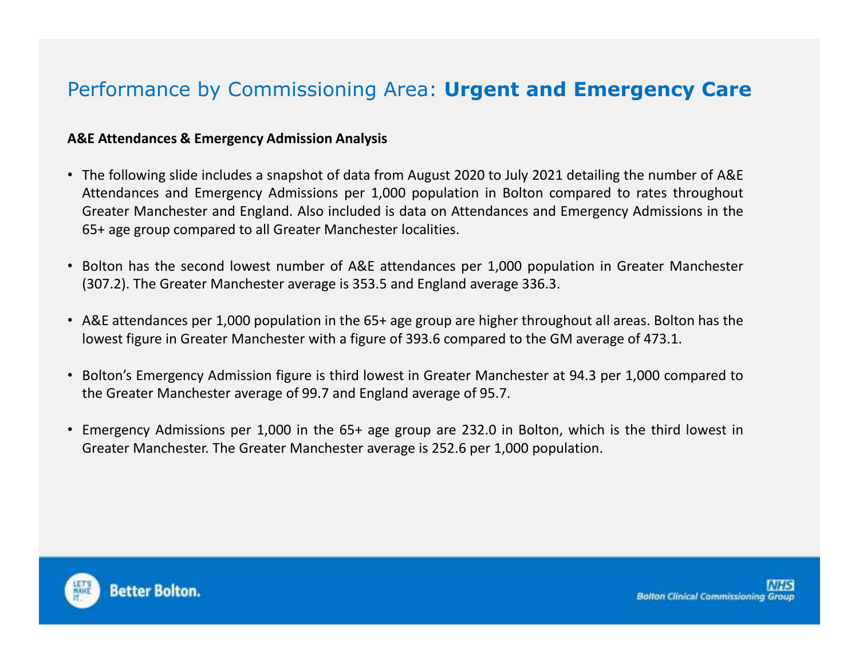## Performance by Commissioning Area: **Urgent and Emergency Care**

#### **A&E Attendances & Emergency Admission Analysis**

- The following slide includes <sup>a</sup> snapshot of data from August <sup>2020</sup> to July <sup>2021</sup> detailing the number of A&E Attendances and Emergency Admissions per 1,000 population in Bolton compared to rates throughout Greater Manchester and England. Also included is data on Attendances and Emergency Admissions in the 65+ age group compared to all Greater Manchester localities.
- Bolton has the second lowest number of A&E attendances per 1,000 population in Greater Manchester (307.2). The Greater Manchester average is 353.5 and England average 336.3.
- A&E attendances per 1,000 population in the 65+ age group are higher throughout all areas. Bolton has the lowest figure in Greater Manchester with <sup>a</sup> figure of 393.6 compared to the GM average of 473.1.
- Bolton's Emergency Admission figure is third lowest in Greater Manchester at 94.3 per 1,000 compared tothe Greater Manchester average of 99.7 and England average of 95.7.
- Emergency Admissions per 1,000 in the 65+ age group are 232.0 in Bolton, which is the third lowest inGreater Manchester. The Greater Manchester average is 252.6 per 1,000 population.

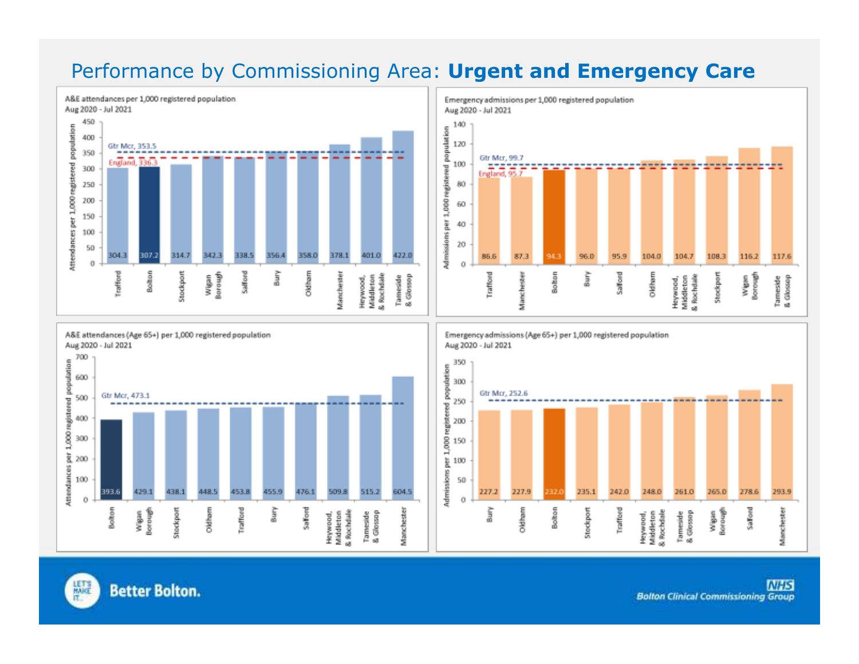## Performance by Commissioning Area: **Urgent and Emergency Care**







Emergency admissions (Age 65+) per 1,000 registered population Aug 2020 - Jul 2021

Emergency admissions per 1,000 registered population



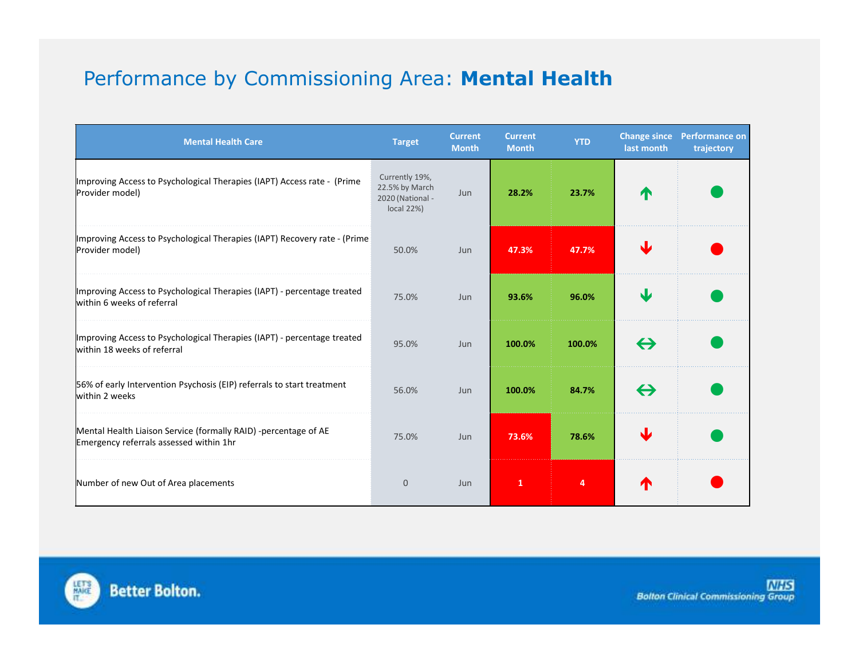# Performance by Commissioning Area: **Mental Health**

| <b>Mental Health Care</b>                                                                                  | <b>Target</b>                                                      | <b>Current</b><br><b>Month</b> | <b>Current</b><br><b>Month</b> | <b>YTD</b> | <b>Change since</b><br>last month | <b>Performance on</b><br>trajectory |
|------------------------------------------------------------------------------------------------------------|--------------------------------------------------------------------|--------------------------------|--------------------------------|------------|-----------------------------------|-------------------------------------|
| Improving Access to Psychological Therapies (IAPT) Access rate - (Prime<br>Provider model)                 | Currently 19%,<br>22.5% by March<br>2020 (National -<br>local 22%) | <b>Jun</b>                     | 28.2%                          | 23.7%      | ́↑                                |                                     |
| Improving Access to Psychological Therapies (IAPT) Recovery rate - (Prime<br>Provider model)               | 50.0%                                                              | Jun                            | 47.3%                          | 47.7%      |                                   |                                     |
| Improving Access to Psychological Therapies (IAPT) - percentage treated<br>within 6 weeks of referral      | 75.0%                                                              | Jun                            | 93.6%                          | 96.0%      | Ψ                                 |                                     |
| Improving Access to Psychological Therapies (IAPT) - percentage treated<br>within 18 weeks of referral     | 95.0%                                                              | Jun                            | 100.0%                         | 100.0%     | $\leftrightarrow$                 |                                     |
| 56% of early Intervention Psychosis (EIP) referrals to start treatment<br>within 2 weeks                   | 56.0%                                                              | Jun                            | 100.0%                         | 84.7%      | $\leftrightarrow$                 |                                     |
| Mental Health Liaison Service (formally RAID) -percentage of AE<br>Emergency referrals assessed within 1hr | 75.0%                                                              | Jun                            | 73.6%                          | 78.6%      |                                   |                                     |
| Number of new Out of Area placements                                                                       | $\overline{0}$                                                     | Jun                            | 1                              | 4          |                                   |                                     |

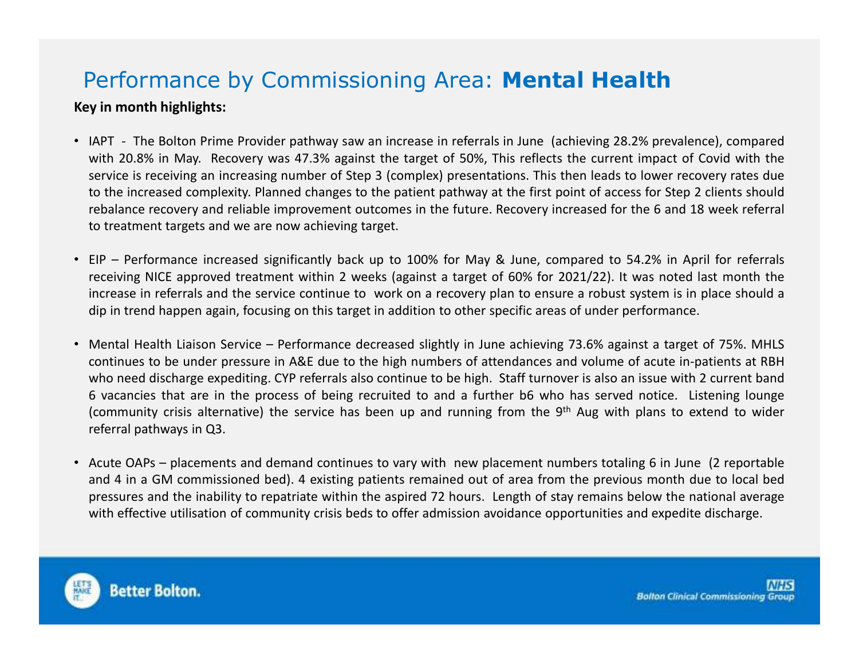# Performance by Commissioning Area: **Mental Health**

#### **Key in month highlights:**

- IAPT The Bolton Prime Provider pathway saw an increase in referrals in June (achieving 28.2% prevalence), compared with 20.8% in May. Recovery was 47.3% against the target of 50%, This reflects the current impact of Covid with the service is receiving an increasing number of Step <sup>3</sup> (complex) presentations. This then leads to lower recovery rates due to the increased complexity. Planned changes to the patient pathway at the first point of access for Step <sup>2</sup> clients should rebalance recovery and reliable improvement outcomes in the future. Recovery increased for the <sup>6</sup> and <sup>18</sup> week referral to treatment targets and we are now achieving target.
- EIP Performance increased significantly back up to 100% for May & June, compared to 54.2% in April for referrals receiving NICE approved treatment within <sup>2</sup> weeks (against <sup>a</sup> target of 60% for 2021/22). It was noted last month the increase in referrals and the service continue to work on <sup>a</sup> recovery plan to ensure <sup>a</sup> robust system is in place should <sup>a</sup> dip in trend happen again, focusing on this target in addition to other specific areas of under performance.
- Mental Health Liaison Service Performance decreased slightly in June achieving 73.6% against <sup>a</sup> target of 75%. MHLS continues to be under pressure in A&E due to the high numbers of attendances and volume of acute in-patients at RBH who need discharge expediting. CYP referrals also continue to be high. Staff turnover is also an issue with <sup>2</sup> current band <sup>6</sup> vacancies that are in the process of being recruited to and <sup>a</sup> further b6 who has served notice. Listening lounge (community crisis alternative) the service has been up and running from the 9<sup>th</sup> Aug with plans to extend to wider referral pathways in Q3.
- Acute OAPs placements and demand continues to vary with new placement numbers totaling <sup>6</sup> in June (2 reportable and <sup>4</sup> in <sup>a</sup> GM commissioned bed). <sup>4</sup> existing patients remained out of area from the previous month due to local bed pressures and the inability to repatriate within the aspired <sup>72</sup> hours. Length of stay remains below the national average with effective utilisation of community crisis beds to offer admission avoidance opportunities and expedite discharge.

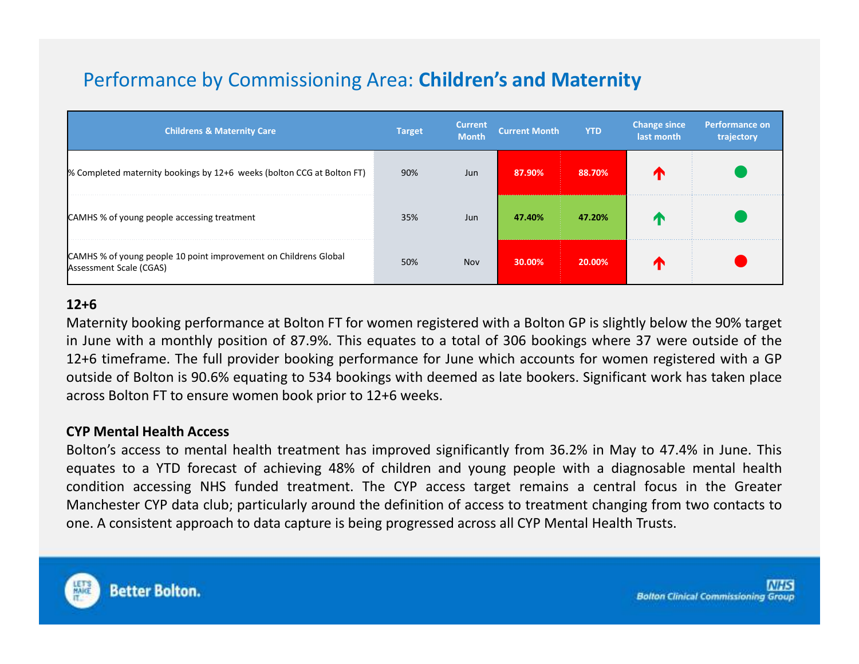# Performance by Commissioning Area: **Children's and Maternity**

| <b>Childrens &amp; Maternity Care</b>                                                       | <b>Target</b> | <b>Current</b><br><b>Month</b> | <b>Current Month</b> | <b>YTD</b> | <b>Change since</b><br>last month | Performance on<br>trajectory |
|---------------------------------------------------------------------------------------------|---------------|--------------------------------|----------------------|------------|-----------------------------------|------------------------------|
| % Completed maternity bookings by 12+6 weeks (bolton CCG at Bolton FT)                      | 90%           | Jun                            | 87.90%               | 88.70%     |                                   |                              |
| CAMHS % of young people accessing treatment                                                 | 35%           | Jun                            | 47.40%               | 47.20%     |                                   |                              |
| CAMHS % of young people 10 point improvement on Childrens Global<br>Assessment Scale (CGAS) | 50%           | <b>Nov</b>                     | 30.00%               | 20.00%     |                                   |                              |

#### **12+6**

 Maternity booking performance at Bolton FT for women registered with <sup>a</sup> Bolton GP is slightly below the 90% target in June with <sup>a</sup> monthly position of 87.9%. This equates to <sup>a</sup> total of <sup>306</sup> bookings where <sup>37</sup> were outside of the 12+6 timeframe. The full provider booking performance for June which accounts for women registered with <sup>a</sup> GP outside of Bolton is 90.6% equating to <sup>534</sup> bookings with deemed as late bookers. Significant work has taken place across Bolton FT to ensure women book prior to 12+6 weeks.

#### **CYP Mental Health Access**

Bolton's access to mental health treatment has improved significantly from 36.2% in May to 47.4% in June. This equates to <sup>a</sup> YTD forecast of achieving 48% of children and young people with <sup>a</sup> diagnosable mental health condition accessing NHS funded treatment. The CYP access target remains <sup>a</sup> central focus in the Greater Manchester CYP data club; particularly around the definition of access to treatment changing from two contacts toone. <sup>A</sup> consistent approach to data capture is being progressed across all CYP Mental Health Trusts.

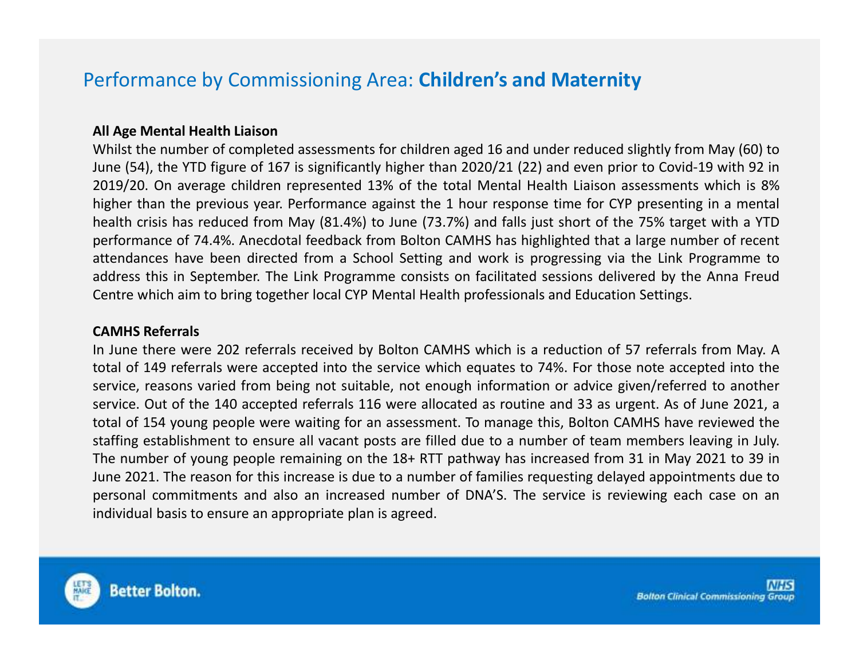### Performance by Commissioning Area: **Children's and Maternity**

#### **All Age Mental Health Liaison**

 Whilst the number of completed assessments for children aged <sup>16</sup> and under reduced slightly from May (60) to June (54), the YTD figure of <sup>167</sup> is significantly higher than 2020/21 (22) and even prior to Covid-19 with <sup>92</sup> in 2019/20. On average children represented 13% of the total Mental Health Liaison assessments which is 8% higher than the previous year. Performance against the <sup>1</sup> hour response time for CYP presenting in <sup>a</sup> mental health crisis has reduced from May (81.4%) to June (73.7%) and falls just short of the 75% target with <sup>a</sup> YTD performance of 74.4%. Anecdotal feedback from Bolton CAMHS has highlighted that <sup>a</sup> large number of recent attendances have been directed from <sup>a</sup> School Setting and work is progressing via the Link Programme to address this in September. The Link Programme consists on facilitated sessions delivered by the Anna FreudCentre which aim to bring together local CYP Mental Health professionals and Education Settings.

#### **CAMHS Referrals**

In June there were <sup>202</sup> referrals received by Bolton CAMHS which is <sup>a</sup> reduction of <sup>57</sup> referrals from May. <sup>A</sup> total of <sup>149</sup> referrals were accepted into the service which equates to 74%. For those note accepted into the service, reasons varied from being not suitable, not enough information or advice given/referred to another service. Out of the <sup>140</sup> accepted referrals <sup>116</sup> were allocated as routine and <sup>33</sup> as urgent. As of June 2021, <sup>a</sup> total of <sup>154</sup> young people were waiting for an assessment. To manage this, Bolton CAMHS have reviewed the staffing establishment to ensure all vacant posts are filled due to <sup>a</sup> number of team members leaving in July. The number of young people remaining on the 18+ RTT pathway has increased from <sup>31</sup> in May <sup>2021</sup> to <sup>39</sup> in June 2021. The reason for this increase is due to <sup>a</sup> number of families requesting delayed appointments due to personal commitments and also an increased number of DNA'S. The service is reviewing each case on anindividual basis to ensure an appropriate plan is agreed.